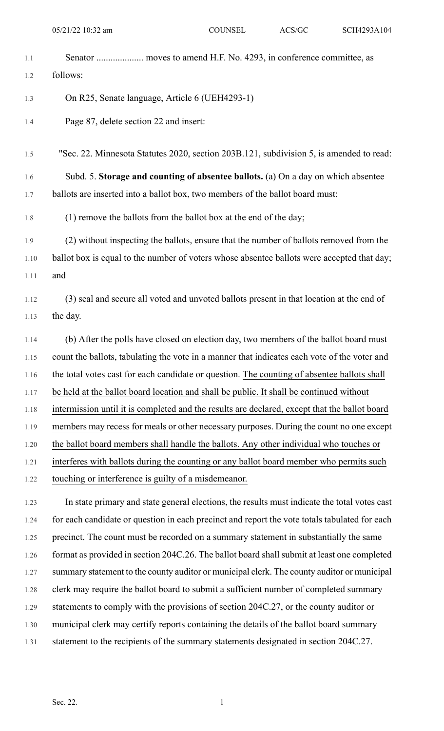- 
- 1.1 Senator .................... moves to amend H.F. No. 4293, in conference committee, as

1.2 follows:

- 1.3 On R25, Senate language, Article 6 (UEH4293-1)
- 1.4 Page 87, delete section 22 and insert:

1.5 "Sec. 22. Minnesota Statutes 2020, section 203B.121, subdivision 5, is amended to read:

1.6 Subd. 5. **Storage and counting of absentee ballots.** (a) On a day on which absentee 1.7 ballots are inserted into a ballot box, two members of the ballot board must:

1.8 (1) remove the ballots from the ballot box at the end of the day;

1.9 (2) without inspecting the ballots, ensure that the number of ballots removed from the 1.10 ballot box is equal to the number of voters whose absentee ballots were accepted that day; 1.11 and

1.12 (3) seal and secure all voted and unvoted ballots present in that location at the end of 1.13 the day.

1.14 (b) After the polls have closed on election day, two members of the ballot board must 1.15 count the ballots, tabulating the vote in a manner that indicates each vote of the voter and 1.16 the total votes cast for each candidate or question. The counting of absentee ballots shall 1.17 be held at the ballot board location and shall be public. It shall be continued without 1.18 intermission until it is completed and the results are declared, except that the ballot board 1.19 members may recess for meals or other necessary purposes. During the count no one except 1.20 the ballot board members shall handle the ballots. Any other individual who touches or 1.21 interferes with ballots during the counting or any ballot board member who permits such 1.22 touching or interference is guilty of a misdemeanor.

1.23 In state primary and state general elections, the results must indicate the total votes cast 1.24 for each candidate or question in each precinct and report the vote totals tabulated for each 1.25 precinct. The count must be recorded on a summary statement in substantially the same 1.26 format as provided in section 204C.26. The ballot board shall submit at least one completed 1.27 summary statement to the county auditor or municipal clerk. The county auditor or municipal 1.28 clerk may require the ballot board to submit a sufficient number of completed summary 1.29 statements to comply with the provisions of section 204C.27, or the county auditor or 1.30 municipal clerk may certify reports containing the details of the ballot board summary 1.31 statement to the recipients of the summary statements designated in section 204C.27.